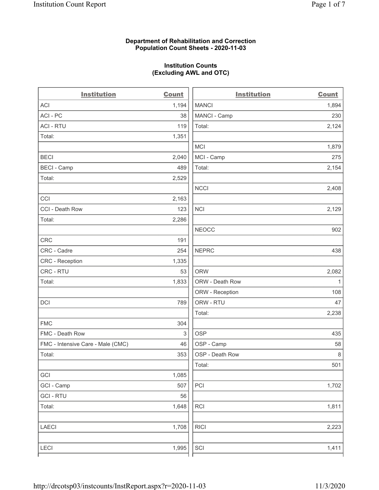### Department of Rehabilitation and Correction Population Count Sheets - 2020-11-03

## Institution Counts (Excluding AWL and OTC)

. .

| <b>Institution</b>                | <b>Count</b> | <b>Institution</b> | <b>Count</b> |
|-----------------------------------|--------------|--------------------|--------------|
| <b>ACI</b>                        | 1,194        | <b>MANCI</b>       | 1,894        |
| ACI-PC                            | 38           | MANCI - Camp       | 230          |
| <b>ACI - RTU</b>                  | 119          | Total:             | 2,124        |
| Total:                            | 1,351        |                    |              |
|                                   |              | MCI                | 1,879        |
| <b>BECI</b>                       | 2,040        | MCI - Camp         | 275          |
| <b>BECI - Camp</b>                | 489          | Total:             | 2,154        |
| Total:                            | 2,529        |                    |              |
|                                   |              | <b>NCCI</b>        | 2,408        |
| CCI                               | 2,163        |                    |              |
| CCI - Death Row                   | 123          | <b>NCI</b>         | 2,129        |
| Total:                            | 2,286        |                    |              |
|                                   |              | <b>NEOCC</b>       | 902          |
| <b>CRC</b>                        | 191          |                    |              |
| CRC - Cadre                       | 254          | <b>NEPRC</b>       | 438          |
| <b>CRC</b> - Reception            | 1,335        |                    |              |
| CRC - RTU                         | 53           | <b>ORW</b>         | 2,082        |
| Total:                            | 1,833        | ORW - Death Row    | $\mathbf{1}$ |
|                                   |              | ORW - Reception    | 108          |
| DCI                               | 789          | ORW - RTU          | 47           |
|                                   |              | Total:             | 2,238        |
| <b>FMC</b>                        | 304          |                    |              |
| FMC - Death Row                   | 3            | <b>OSP</b>         | 435          |
| FMC - Intensive Care - Male (CMC) | 46           | OSP - Camp         | 58           |
| Total:                            | 353          | OSP - Death Row    | 8            |
|                                   |              | Total:             | 501          |
| GCI                               | 1,085        |                    |              |
| GCI - Camp                        | 507          | PCI                | 1,702        |
| <b>GCI - RTU</b>                  | 56           |                    |              |
| Total:                            | 1,648        | RCI                | 1,811        |
| <b>LAECI</b>                      | 1,708        | <b>RICI</b>        | 2,223        |
| <b>LECI</b>                       | 1,995        | SCI                | 1,411        |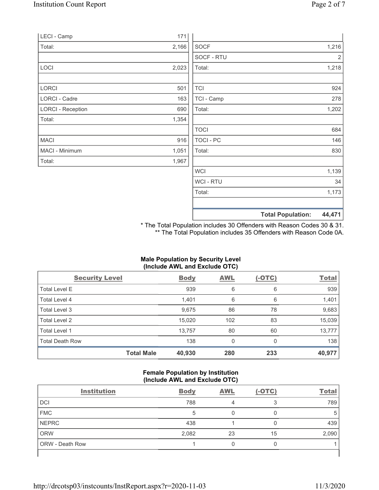|                          |       |                      | <b>Total Population:</b> | 44,471     |
|--------------------------|-------|----------------------|--------------------------|------------|
|                          |       |                      |                          |            |
|                          |       | Total:               |                          | 1,173      |
|                          |       | <b>WCI-RTU</b>       |                          | 34         |
|                          |       | <b>WCI</b>           |                          | 1,139      |
| Total:                   | 1,967 |                      |                          |            |
| MACI - Minimum           | 1,051 | Total:               |                          | 830        |
| MACI                     | 916   | <b>TOCI - PC</b>     |                          | 146        |
|                          |       | <b>TOCI</b>          |                          | 684        |
| Total:                   | 1,354 |                      |                          |            |
| <b>LORCI - Reception</b> | 690   | Total:               |                          | 1,202      |
| <b>LORCI - Cadre</b>     | 163   | TCI - Camp           |                          | 278        |
| LORCI                    | 501   | <b>TCI</b>           |                          | 924        |
|                          |       |                      |                          |            |
| LOCI                     | 2,023 | SOCF - RTU<br>Total: |                          | 2<br>1,218 |
| Total:                   | 2,166 | <b>SOCF</b>          |                          | 1,216      |
| LECI - Camp              | 171   |                      |                          |            |
|                          |       |                      |                          |            |

\* The Total Population includes 30 Offenders with Reason Codes 30 & 31. \*\* The Total Population includes 35 Offenders with Reason Code 0A.

## Male Population by Security Level (Include AWL and Exclude OTC)

| <b>Security Level</b>  |                   | <b>Body</b> | <b>AWL</b> | $(-OTC)$ | <b>Total</b> |
|------------------------|-------------------|-------------|------------|----------|--------------|
| <b>Total Level E</b>   |                   | 939         | 6          | 6        | 939          |
| Total Level 4          |                   | 1,401       | 6          | 6        | 1,401        |
| Total Level 3          |                   | 9,675       | 86         | 78       | 9,683        |
| Total Level 2          |                   | 15,020      | 102        | 83       | 15,039       |
| Total Level 1          |                   | 13,757      | 80         | 60       | 13,777       |
| <b>Total Death Row</b> |                   | 138         | 0          | 0        | 138          |
|                        | <b>Total Male</b> | 40,930      | 280        | 233      | 40,977       |

#### Female Population by Institution (Include AWL and Exclude OTC)

| <b>Institution</b>     | <b>Body</b> | <b>AWL</b> | $(-OTC)$ | <b>Total</b> |
|------------------------|-------------|------------|----------|--------------|
| <b>DCI</b>             | 788         |            | 2        | 789          |
| <b>FMC</b>             | 5           |            |          |              |
| <b>NEPRC</b>           | 438         |            |          | 439          |
| <b>ORW</b>             | 2,082       | 23         | 15       | 2,090        |
| <b>ORW - Death Row</b> |             |            |          |              |
|                        |             |            |          |              |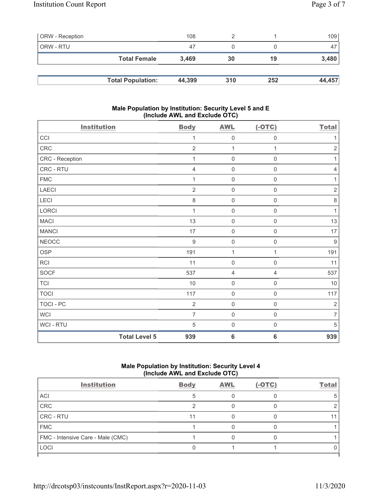| <b>ORW</b> - Reception |                          | 108    |     |     | 109 <sup>1</sup> |
|------------------------|--------------------------|--------|-----|-----|------------------|
| ORW - RTU              |                          | 47     |     |     | 47               |
|                        | <b>Total Female</b>      | 3.469  | 30  | 19  | 3,480            |
|                        |                          |        |     |     |                  |
|                        | <b>Total Population:</b> | 44,399 | 310 | 252 | 44,457           |

### Male Population by Institution: Security Level 5 and E (Include AWL and Exclude OTC)

| <b>Institution</b> |                      | <b>Body</b>    | <b>AWL</b>          | $(-OTC)$            | <b>Total</b>   |
|--------------------|----------------------|----------------|---------------------|---------------------|----------------|
| CCI                |                      | $\mathbf 1$    | $\mathsf{O}\xspace$ | 0                   | 1              |
| CRC                |                      | $\overline{2}$ | 1                   | 1                   | $\sqrt{2}$     |
| CRC - Reception    |                      | 1              | 0                   | 0                   | 1              |
| CRC - RTU          |                      | $\overline{4}$ | 0                   | $\mathsf{O}\xspace$ | $\overline{4}$ |
| <b>FMC</b>         |                      | 1              | $\mathsf{O}\xspace$ | $\mathbf 0$         | $\mathbf{1}$   |
| LAECI              |                      | $\overline{2}$ | $\boldsymbol{0}$    | $\mathsf{O}\xspace$ | $\sqrt{2}$     |
| LECI               |                      | 8              | $\mathsf{O}\xspace$ | $\mathsf 0$         | $\,8\,$        |
| LORCI              |                      | 1              | $\boldsymbol{0}$    | $\mathsf 0$         | $\mathbf{1}$   |
| <b>MACI</b>        |                      | 13             | $\mathbf 0$         | $\mathsf{O}\xspace$ | 13             |
| <b>MANCI</b>       |                      | 17             | $\boldsymbol{0}$    | $\mathsf{O}\xspace$ | 17             |
| <b>NEOCC</b>       |                      | 9              | $\boldsymbol{0}$    | $\mathsf 0$         | $\overline{9}$ |
| <b>OSP</b>         |                      | 191            | 1                   | 1                   | 191            |
| RCI                |                      | 11             | $\boldsymbol{0}$    | $\mathsf 0$         | 11             |
| SOCF               |                      | 537            | $\sqrt{4}$          | 4                   | 537            |
| <b>TCI</b>         |                      | $10$           | $\mathsf{O}\xspace$ | 0                   | $10$           |
| <b>TOCI</b>        |                      | 117            | 0                   | $\mathsf{O}\xspace$ | 117            |
| TOCI - PC          |                      | $\overline{2}$ | $\mathbf 0$         | $\mathsf{O}\xspace$ | $\overline{2}$ |
| <b>WCI</b>         |                      | $\overline{7}$ | 0                   | $\mathsf{O}\xspace$ | $\overline{7}$ |
| WCI - RTU          |                      | 5              | 0                   | 0                   | 5              |
|                    | <b>Total Level 5</b> | 939            | 6                   | $6\phantom{1}6$     | 939            |

# Male Population by Institution: Security Level 4 (Include AWL and Exclude OTC)

| <b>Body</b> | <b>AWL</b> | $(-OTC)$ | <b>Total</b> |
|-------------|------------|----------|--------------|
|             |            |          | 5            |
|             |            |          |              |
| 11          |            |          |              |
|             |            |          |              |
|             |            |          |              |
|             |            |          |              |
|             |            |          |              |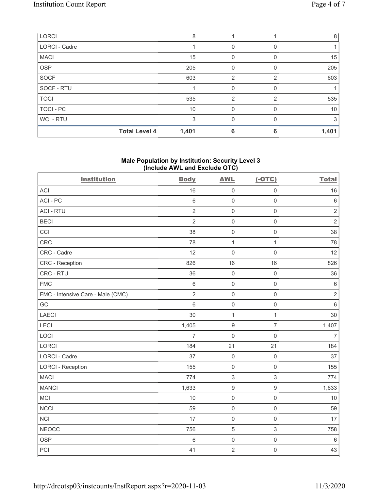| LORCI                |                      | 8     |                |   | 8     |
|----------------------|----------------------|-------|----------------|---|-------|
| <b>LORCI - Cadre</b> |                      |       |                |   |       |
| <b>MACI</b>          |                      | 15    | 0              |   | 15    |
| <b>OSP</b>           |                      | 205   | 0              |   | 205   |
| <b>SOCF</b>          |                      | 603   | $\mathfrak{p}$ | 2 | 603   |
| SOCF - RTU           |                      |       | 0              |   |       |
| <b>TOCI</b>          |                      | 535   | $\overline{2}$ | 2 | 535   |
| TOCI - PC            |                      | 10    | 0              |   | 10    |
| WCI - RTU            |                      | 3     | O              |   | 3     |
|                      | <b>Total Level 4</b> | 1,401 | 6              | 6 | 1,401 |

## Male Population by Institution: Security Level 3 (Include AWL and Exclude OTC)

| <b>Institution</b>                | <b>Body</b>    | <b>AWL</b>       | $(-OTC)$            | <b>Total</b>   |
|-----------------------------------|----------------|------------------|---------------------|----------------|
| <b>ACI</b>                        | 16             | $\mathbf 0$      | $\mathsf 0$         | 16             |
| ACI-PC                            | 6              | $\mathbf 0$      | $\mathsf{O}\xspace$ | $\,6\,$        |
| <b>ACI - RTU</b>                  | $\overline{2}$ | $\mathbf 0$      | $\mathsf 0$         | $\sqrt{2}$     |
| <b>BECI</b>                       | $\overline{2}$ | $\mathbf 0$      | $\mathsf{O}\xspace$ | $\overline{2}$ |
| CCI                               | 38             | $\mathbf 0$      | $\mathsf{O}\xspace$ | 38             |
| CRC                               | 78             | $\mathbf 1$      | $\mathbf{1}$        | 78             |
| CRC - Cadre                       | 12             | $\mathbf 0$      | $\mathbf 0$         | 12             |
| <b>CRC</b> - Reception            | 826            | 16               | 16                  | 826            |
| CRC - RTU                         | 36             | $\mathbf 0$      | $\mathsf 0$         | 36             |
| <b>FMC</b>                        | $\,6\,$        | $\mathbf 0$      | $\mathsf{O}\xspace$ | $\,6\,$        |
| FMC - Intensive Care - Male (CMC) | $\overline{2}$ | $\mathbf 0$      | $\mathsf 0$         | $\sqrt{2}$     |
| GCI                               | 6              | $\mathbf 0$      | $\mathsf 0$         | $\,6\,$        |
| <b>LAECI</b>                      | 30             | $\mathbf 1$      | $\mathbf{1}$        | 30             |
| LECI                              | 1,405          | $\boldsymbol{9}$ | $\overline{7}$      | 1,407          |
| LOCI                              | $\overline{7}$ | $\mathbf 0$      | $\mathsf 0$         | $\overline{7}$ |
| <b>LORCI</b>                      | 184            | 21               | 21                  | 184            |
| LORCI - Cadre                     | 37             | $\mathbf 0$      | $\mathsf{O}\xspace$ | 37             |
| <b>LORCI - Reception</b>          | 155            | $\mathbf 0$      | $\mathbf 0$         | 155            |
| <b>MACI</b>                       | 774            | $\sqrt{3}$       | $\sqrt{3}$          | 774            |
| <b>MANCI</b>                      | 1,633          | $\boldsymbol{9}$ | $\boldsymbol{9}$    | 1,633          |
| MCI                               | 10             | $\mathbf 0$      | $\mathsf{O}\xspace$ | 10             |
| <b>NCCI</b>                       | 59             | $\mathbf 0$      | $\mathsf 0$         | 59             |
| <b>NCI</b>                        | 17             | $\mathbf 0$      | $\mathsf 0$         | 17             |
| <b>NEOCC</b>                      | 756            | $\mathbf 5$      | $\sqrt{3}$          | 758            |
| <b>OSP</b>                        | $\,6\,$        | $\mathbf 0$      | $\mathsf{O}\xspace$ | $\,6\,$        |
| PCI                               | 41             | $\overline{2}$   | $\mathsf 0$         | 43             |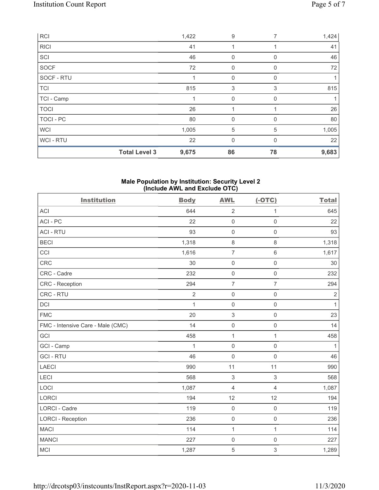| <b>RCI</b>  |                      | 1,422 | 9              | 7        | 1,424 |
|-------------|----------------------|-------|----------------|----------|-------|
| <b>RICI</b> |                      | 41    | 1              |          | 41    |
| SCI         |                      | 46    | $\mathbf 0$    | $\Omega$ | 46    |
| <b>SOCF</b> |                      | 72    | 0              | 0        | 72    |
| SOCF - RTU  |                      | 1     | $\mathbf 0$    | $\Omega$ |       |
| <b>TCI</b>  |                      | 815   | 3              | 3        | 815   |
| TCI - Camp  |                      |       | $\mathbf 0$    | 0        |       |
| <b>TOCI</b> |                      | 26    |                |          | 26    |
| TOCI - PC   |                      | 80    | $\mathbf 0$    | 0        | 80    |
| <b>WCI</b>  |                      | 1,005 | $\mathbf 5$    | 5        | 1,005 |
| WCI - RTU   |                      | 22    | $\overline{0}$ | $\Omega$ | 22    |
|             | <b>Total Level 3</b> | 9,675 | 86             | 78       | 9,683 |

#### Male Population by Institution: Security Level 2 (Include AWL and Exclude OTC)

| <b>Institution</b>                | <b>Body</b>    | <b>AWL</b>     | $(-OTC)$            | <b>Total</b>   |
|-----------------------------------|----------------|----------------|---------------------|----------------|
| <b>ACI</b>                        | 644            | $\sqrt{2}$     | 1                   | 645            |
| ACI-PC                            | 22             | $\mathsf 0$    | $\mathsf{O}\xspace$ | 22             |
| <b>ACI - RTU</b>                  | 93             | $\mathbf 0$    | $\mathsf 0$         | 93             |
| <b>BECI</b>                       | 1,318          | $\,8\,$        | 8                   | 1,318          |
| CCI                               | 1,616          | $\overline{7}$ | $\,6$               | 1,617          |
| CRC                               | 30             | $\mathsf 0$    | $\mathsf{O}\xspace$ | $30\,$         |
| CRC - Cadre                       | 232            | $\mathbf 0$    | $\mathbf 0$         | 232            |
| CRC - Reception                   | 294            | $\overline{7}$ | $\overline{7}$      | 294            |
| CRC - RTU                         | $\overline{2}$ | $\mathsf 0$    | $\mathsf{O}\xspace$ | $\overline{2}$ |
| DCI                               | $\mathbf{1}$   | $\mathsf 0$    | $\mathsf{O}\xspace$ | $\mathbf{1}$   |
| <b>FMC</b>                        | 20             | $\sqrt{3}$     | $\mathsf{O}\xspace$ | 23             |
| FMC - Intensive Care - Male (CMC) | 14             | $\mathsf 0$    | $\mathsf{O}\xspace$ | 14             |
| GCI                               | 458            | $\mathbf{1}$   | $\mathbf{1}$        | 458            |
| GCI - Camp                        | $\mathbf{1}$   | $\mathsf 0$    | $\mathsf{O}\xspace$ | $\mathbf{1}$   |
| <b>GCI-RTU</b>                    | 46             | $\mathbf 0$    | $\mathsf{O}\xspace$ | 46             |
| <b>LAECI</b>                      | 990            | 11             | 11                  | 990            |
| LECI                              | 568            | $\,$ 3 $\,$    | 3                   | 568            |
| LOCI                              | 1,087          | $\overline{4}$ | $\overline{4}$      | 1,087          |
| <b>LORCI</b>                      | 194            | 12             | 12                  | 194            |
| <b>LORCI - Cadre</b>              | 119            | $\mathsf 0$    | $\mathsf{O}\xspace$ | 119            |
| <b>LORCI - Reception</b>          | 236            | $\mathsf 0$    | $\mathbf 0$         | 236            |
| <b>MACI</b>                       | 114            | 1              | $\mathbf{1}$        | 114            |
| <b>MANCI</b>                      | 227            | $\mathbf 0$    | $\mathsf 0$         | 227            |
| <b>MCI</b>                        | 1,287          | 5              | 3                   | 1,289          |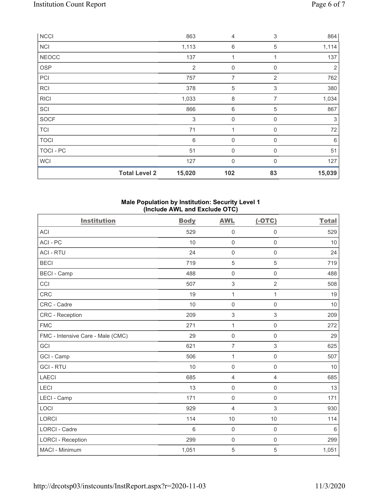| NCCI         |                      | 863             | 4                | $\ensuremath{\mathsf{3}}$ | 864            |
|--------------|----------------------|-----------------|------------------|---------------------------|----------------|
| <b>NCI</b>   |                      | 1,113           | 6                | 5                         | 1,114          |
| <b>NEOCC</b> |                      | 137             | 1                | 1                         | 137            |
| <b>OSP</b>   |                      | $\overline{2}$  | $\mathbf 0$      | 0                         | $\overline{2}$ |
| PCI          |                      | 757             | $\overline{7}$   | $\overline{2}$            | 762            |
| RCI          |                      | 378             | $\sqrt{5}$       | $\ensuremath{\mathsf{3}}$ | 380            |
| <b>RICI</b>  |                      | 1,033           | 8                | 7                         | 1,034          |
| SCI          |                      | 866             | 6                | 5                         | 867            |
| SOCF         |                      | 3               | $\boldsymbol{0}$ | 0                         | 3              |
| <b>TCI</b>   |                      | 71              | 1                | $\mathbf 0$               | 72             |
| <b>TOCI</b>  |                      | $6\phantom{1}6$ | $\mathbf 0$      | 0                         | 6              |
| TOCI - PC    |                      | 51              | $\mathbf 0$      | 0                         | 51             |
| <b>WCI</b>   |                      | 127             | $\mathbf 0$      | 0                         | 127            |
|              | <b>Total Level 2</b> | 15,020          | 102              | 83                        | 15,039         |

# Male Population by Institution: Security Level 1 (Include AWL and Exclude OTC)

| <b>Institution</b>                | <b>Body</b> | <b>AWL</b>                | $(-OTC)$            | <b>Total</b> |
|-----------------------------------|-------------|---------------------------|---------------------|--------------|
| <b>ACI</b>                        | 529         | $\mathbf 0$               | $\mathsf 0$         | 529          |
| ACI - PC                          | 10          | $\mathbf 0$               | $\mathsf{O}\xspace$ | 10           |
| <b>ACI - RTU</b>                  | 24          | $\mathsf{O}\xspace$       | $\mathsf{O}\xspace$ | 24           |
| <b>BECI</b>                       | 719         | $\sqrt{5}$                | $\sqrt{5}$          | 719          |
| <b>BECI - Camp</b>                | 488         | $\mathsf{O}\xspace$       | $\mathbf 0$         | 488          |
| CCI                               | 507         | $\sqrt{3}$                | $\overline{2}$      | 508          |
| CRC                               | 19          | 1                         | 1                   | 19           |
| CRC - Cadre                       | 10          | $\mathsf 0$               | $\mathsf 0$         | 10           |
| CRC - Reception                   | 209         | $\ensuremath{\mathsf{3}}$ | $\,$ 3 $\,$         | 209          |
| <b>FMC</b>                        | 271         | 1                         | $\mathsf{O}\xspace$ | 272          |
| FMC - Intensive Care - Male (CMC) | 29          | $\mathsf{O}\xspace$       | $\mathbf 0$         | 29           |
| GCI                               | 621         | $\overline{7}$            | 3                   | 625          |
| GCI - Camp                        | 506         | 1                         | $\mathsf 0$         | 507          |
| <b>GCI-RTU</b>                    | 10          | $\mathsf{O}\xspace$       | $\mathsf 0$         | 10           |
| <b>LAECI</b>                      | 685         | $\overline{4}$            | $\overline{4}$      | 685          |
| LECI                              | 13          | $\mathsf 0$               | $\mathsf{O}\xspace$ | 13           |
| LECI - Camp                       | 171         | $\mathsf{O}\xspace$       | $\mathbf 0$         | 171          |
| LOCI                              | 929         | $\overline{4}$            | $\,$ 3 $\,$         | 930          |
| <b>LORCI</b>                      | 114         | 10                        | 10                  | 114          |
| LORCI - Cadre                     | 6           | $\mathbf 0$               | $\mathsf{O}\xspace$ | $\,6$        |
| <b>LORCI - Reception</b>          | 299         | $\mathsf{O}\xspace$       | $\mathsf 0$         | 299          |
| MACI - Minimum                    | 1,051       | $\mathbf 5$               | 5                   | 1,051        |